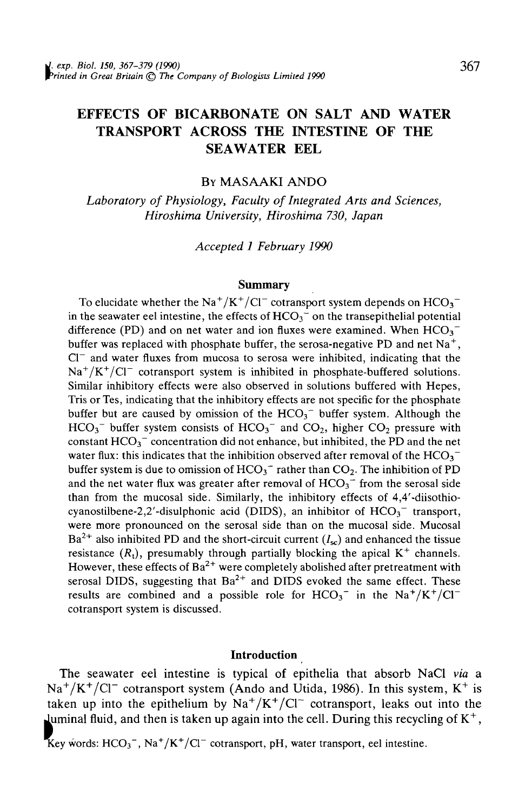## EFFECTS OF BICARBONATE ON SALT AND WATER TRANSPORT ACROSS THE INTESTINE OF THE SEAWATER EEL

## BY MASAAKI ANDO

*Laboratory of Physiology, Faculty of Integrated Arts and Sciences, Hiroshima University, Hiroshima 730, Japan*

*Accepted 1 February 1990*

#### **Summary**

To elucidate whether the Na<sup>+</sup>/K<sup>+</sup>/Cl<sup>-</sup> cotransport system depends on  $HCO_3^$ in the seawater eel intestine, the effects of  $HCO<sub>3</sub><sup>-</sup>$  on the transepithelial potential difference (PD) and on net water and ion fluxes were examined. When  $HCO_3^$ buffer was replaced with phosphate buffer, the serosa-negative PD and net  $Na^+$ ,  $Cl<sup>-</sup>$  and water fluxes from mucosa to serosa were inhibited, indicating that the  $\text{Na}^+/\text{K}^+/\text{Cl}^-$  cotransport system is inhibited in phosphate-buffered solutions. Similar inhibitory effects were also observed in solutions buffered with Hepes, Tris or Tes, indicating that the inhibitory effects are not specific for the phosphate buffer but are caused by omission of the  $HCO<sub>3</sub><sup>-</sup>$  buffer system. Although the  $HCO<sub>3</sub><sup>-</sup>$  buffer system consists of  $HCO<sub>3</sub><sup>-</sup>$  and  $CO<sub>2</sub>$ , higher  $CO<sub>2</sub>$  pressure with constant  $HCO<sub>3</sub><sup>-</sup>$  concentration did not enhance, but inhibited, the PD and the net water flux: this indicates that the inhibition observed after removal of the  $HCO_3^$ buffer system is due to omission of  $HCO_3^-$  rather than  $CO_2$ . The inhibition of PD and the net water flux was greater after removal of  $HCO_3$ <sup>-</sup> from the serosal side than from the mucosal side. Similarly, the inhibitory effects of 4,4'-diisothiocyanostilbene-2,2'-disulphonic acid (DIDS), an inhibitor of  $HCO<sub>3</sub><sup>-</sup>$  transport, were more pronounced on the serosal side than on the mucosal side. Mucosal Ba<sup>2+</sup> also inhibited PD and the short-circuit current *(1<sub>n</sub>)* and enhanced the tissue  $\mu$  and information in the short-entent carrent  $(x_{sc})$  and emighted the ussue  $H_{\text{M}}$  is the complete through through partially clocking the appear  $K$  channels.<br>However, these effects of  $Ba^{2+}$  were completely abolished after pretreatment with serosal DIDS, suggesting that  $Ba^{2+}$  and DIDS evoked the same effect. These results are combined and a possible role for  $HCO_3^-$  in the  $Na^+/K^+/Cl^$ cotransport system is discussed.

## Introduction

The seawater eel intestine is typical of epithelia that absorb NaCl *via* a  $\text{Na}^+/ \text{K}^+/ \text{Cl}^-$  cotransport system (Ando and Utida, 1986). In this system,  $\text{K}^+$  is taken up into the epithelium by  $\text{Na}^+/ \text{K}^+/ \text{Cl}^-$  cotransport, leaks out into the luminal fluid, and then is taken up again into the cell. During this recycling of  $K^+$ ,<br> **I**ey words:  $HCO_3^-$ ,  $Na^+/K^+/Cl^-$  cotransport, pH, water transport, eel intestine.

 $/K^{+}/Cl^{-}$  cotransport, pH, water transport, eel intestine.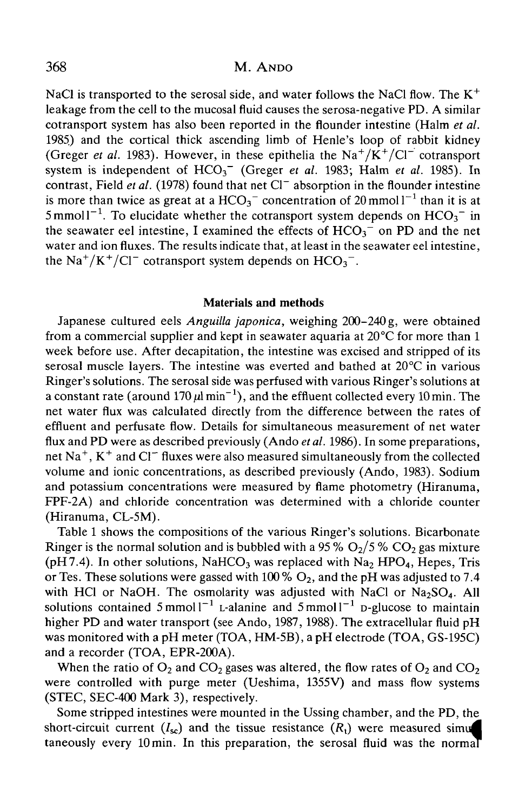NaCl is transported to the serosal side, and water follows the NaCl flow. The  $K^+$ leakage from the cell to the mucosal fluid causes the serosa-negative PD. A similar cotransport system has also been reported in the flounder intestine (Halm *et al.* 1985) and the cortical thick ascending limb of Henle's loop of rabbit kidney (Greger *et al.* 1983). However, in these epithelia the  $Na^{+}/K^{+}/Cl^{-}$  cotransport system is independent of  $HCO<sub>3</sub><sup>-</sup>$  (Greger *et al.* 1983; Halm *et al.* 1985). In contrast, Field *et al.* (1978) found that net Cl<sup>-</sup> absorption in the flounder intestine is more than twice as great at a  $HCO_3^-$  concentration of 20 mmol  $l^{-1}$  than it is at 5 mmol1<sup>-1</sup>. To elucidate whether the cotransport system depends on  $HCO_3^-$  in the seawater eel intestine, I examined the effects of  $HCO<sub>3</sub><sup>-</sup>$  on PD and the net water and ion fluxes. The results indicate that, at least in the seawater eel intestine, the Na<sup>+</sup>/K<sup>+</sup>/Cl<sup>-</sup> cotransport system depends on  $HCO_3^-$ .

### **Materials and methods**

Japanese cultured eels *Anguilla japonica,* weighing 200-240 g, were obtained from a commercial supplier and kept in seawater aquaria at  $20^{\circ}$ C for more than 1 week before use. After decapitation, the intestine was excised and stripped of its serosal muscle layers. The intestine was everted and bathed at 20°C in various Ringer's solutions. The serosal side was perfused with various Ringer's solutions at a constant rate (around  $170 \mu l \text{ min}^{-1}$ ), and the effluent collected every 10 min. The net water flux was calculated directly from the difference between the rates of effluent and perfusate flow. Details for simultaneous measurement of net water flux and PD were as described previously (Ando *etal.* 1986). In some preparations, net Na<sup>+</sup>, K<sup>+</sup> and Cl<sup>-</sup> fluxes were also measured simultaneously from the collected volume and ionic concentrations, as described previously (Ando, 1983). Sodium and potassium concentrations were measured by flame photometry (Hiranuma, FPF-2A) and chloride concentration was determined with a chloride counter (Hiranuma, CL-5M).

Table 1 shows the compositions of the various Ringer's solutions. Bicarbonate Ringer is the normal solution and is bubbled with a 95 %  $O_2/5$  %  $CO_2$  gas mixture (pH7.4). In other solutions, NaHCO<sub>3</sub> was replaced with Na<sub>2</sub> HPO<sub>4</sub>, Hepes, Tris or Tes. These solutions were gassed with 100 %  $O_2$ , and the pH was adjusted to 7.4 with HCl or NaOH. The osmolarity was adjusted with NaCl or  $Na<sub>2</sub>SO<sub>4</sub>$ . All solutions contained  $5 \text{ mmol} l^{-1}$  L-alanine and  $5 \text{ mmol} l^{-1}$  p-glucose to maintain higher PD and water transport (see Ando, 1987, 1988). The extracellular fluid pH was monitored with a pH meter (TOA, HM-5B), a pH electrode (TOA, GS-195C) and a recorder (TOA, EPR-200A).

When the ratio of  $O_2$  and  $CO_2$  gases was altered, the flow rates of  $O_2$  and  $CO_2$ were controlled with purge meter (Ueshima, 1355V) and mass flow systems (STEC, SEC-400 Mark 3), respectively.

Some stripped intestines were mounted in the Ussing chamber, and the PD, the short-circuit current  $(I_{\rm sc})$  and the tissue resistance  $(R_1)$  were measured simu taneously every 10 min. In this preparation, the serosal fluid was the normaT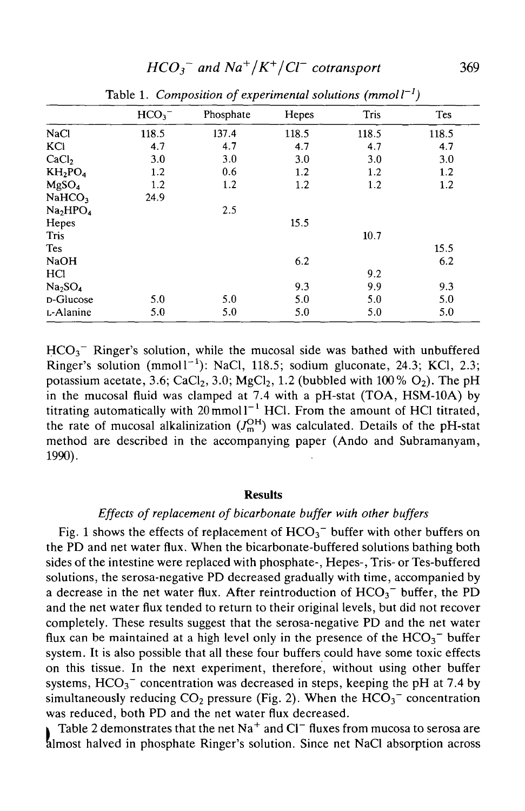| x.<br>$\mathbf{r}$<br>л.<br>, |           |       |             |            |  |
|-------------------------------|-----------|-------|-------------|------------|--|
| HCO <sub>3</sub>              | Phosphate | Hepes | <b>Tris</b> | <b>Tes</b> |  |
| 118.5                         | 137.4     | 118.5 | 118.5       | 118.5      |  |
| 4.7                           | 4.7       | 4.7   | 4.7         | 4.7        |  |
| 3.0                           | 3.0       | 3.0   | 3.0         | 3.0        |  |
| 1.2                           | 0.6       | 1.2   | 1.2         | 1.2        |  |
| 1.2                           | 1.2       | 1.2   | 1.2         | 1.2        |  |
| 24.9                          |           |       |             |            |  |
|                               | 2.5       |       |             |            |  |
|                               |           | 15.5  |             |            |  |
|                               |           |       | 10.7        |            |  |
|                               |           |       |             | 15.5       |  |
|                               |           | 6.2   |             | 6.2        |  |
|                               |           |       | 9.2         |            |  |
|                               |           | 9.3   | 9.9         | 9.3        |  |
| 5.0                           | 5.0       | 5.0   | 5.0         | 5.0        |  |
| 5.0                           | 5.0       | 5.0   | 5.0         | 5.0        |  |
|                               |           |       |             |            |  |

Table 1. Composition of experimental solutions (mmoll<sup>-1</sup>)

 $HCO<sub>3</sub><sup>-</sup>$  Ringer's solution, while the mucosal side was bathed with unbuffered Ringer's solution  $(mmol1^{-1})$ : NaCl, 118.5; sodium gluconate, 24.3; KCl, 2.3; potassium acetate, 3.6; CaCl<sub>2</sub>, 3.0; MgCl<sub>2</sub>, 1.2 (bubbled with 100 % O<sub>2</sub>). The pH in the mucosal fluid was clamped at 7.4 with a pH-stat (TOA, HSM-10A) by titrating automatically with  $20$  mmol  $1^{-1}$  HCl. From the amount of HCl titrated, the rate of mucosal alkalinization  $(J<sub>m</sub><sup>OH</sup>)$  was calculated. Details of the pH-stat method are described in the accompanying paper (Ando and Subramanyam, 1990).

#### **Results**

## *Effects of replacement of bicarbonate buffer with other buffers*

Fig. 1 shows the effects of replacement of  $HCO<sub>3</sub><sup>-</sup>$  buffer with other buffers on the PD and net water flux. When the bicarbonate-buffered solutions bathing both sides of the intestine were replaced with phosphate-, Hepes-, Tris- or Tes-buffered solutions, the serosa-negative PD decreased gradually with time, accompanied by a decrease in the net water flux. After reintroduction of  $HCO_3^-$  buffer, the PD and the net water flux tended to return to their original levels, but did not recover completely. These results suggest that the serosa-negative PD and the net water flux can be maintained at a high level only in the presence of the  $HCO<sub>3</sub>$ <sup>-</sup> buffer system. It is also possible that all these four buffers could have some toxic effects on this tissue. In the next experiment, therefore, without using other buffer systems,  $HCO<sub>3</sub><sup>-</sup>$  concentration was decreased in steps, keeping the pH at 7.4 by simultaneously reducing  $CO_2$  pressure (Fig. 2). When the  $HCO_3^-$  concentration was reduced, both PD and the net water flux decreased.

Table 2 demonstrates that the net Na<sup>+</sup> and Cl<sup>-</sup> fluxes from mucosa to serosa are almost halved in phosphate Ringer's solution. Since net NaCl absorption across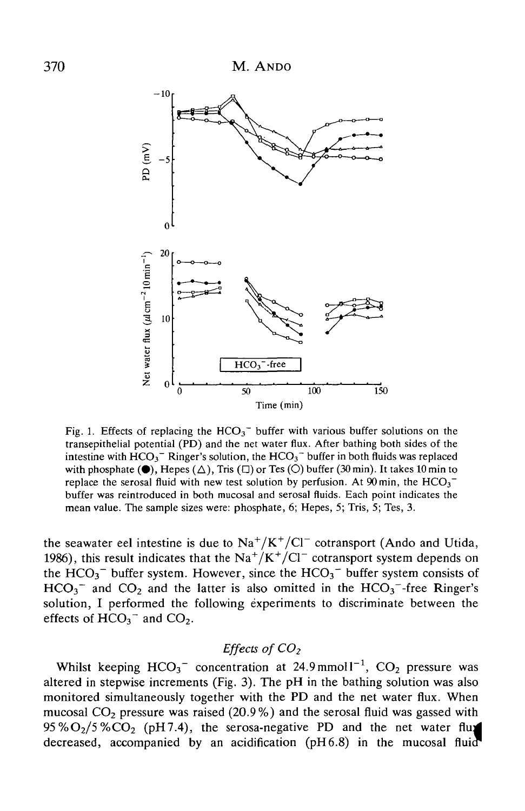

Fig. 1. Effects of replacing the  $HCO<sub>3</sub><sup>-</sup>$  buffer with various buffer solutions on the transepithelial potential (PD) and the net water flux. After bathing both sides of the intestine with  $HCO<sub>3</sub><sup>-</sup>$  Ringer's solution, the  $HCO<sub>3</sub><sup>-</sup>$  buffer in both fluids was replaced with phosphate ( $\bullet$ ), Hepes ( $\triangle$ ), Tris ( $\square$ ) or Tes ( $\bigcirc$ ) buffer (30 min). It takes 10 min to replace the serosal fluid with new test solution by perfusion. At  $90 \text{ min}$ , the  $HCO_3^$ buffer was reintroduced in both mucosal and serosal fluids. Each point indicates the mean value. The sample sizes were: phosphate, 6; Hepes, 5; Tris, 5; Tes, 3.

the seawater eel intestine is due to  $\text{Na}^+/K^+/Cl^-$  cotransport (Ando and Utida, 1986), this result indicates that the  $\text{Na}^+/\text{K}^+/\text{Cl}^-$  cotransport system depends on the  $HCO<sub>3</sub><sup>-</sup>$  buffer system. However, since the  $HCO<sub>3</sub><sup>-</sup>$  buffer system consists of  $HCO<sub>3</sub><sup>-</sup>$  and CO<sub>2</sub> and the latter is also omitted in the  $HCO<sub>3</sub><sup>-</sup>$ -free Ringer's solution, I performed the following experiments to discriminate between the effects of  $HCO<sub>3</sub><sup>-</sup>$  and  $CO<sub>2</sub>$ .

## *Effects of CO2*

Whilst keeping  $HCO_3^-$  concentration at 24.9 mmol1<sup>-1</sup>,  $CO_2$  pressure was altered in stepwise increments (Fig. 3). The pH in the bathing solution was also monitored simultaneously together with the PD and the net water flux. When mucosal  $CO<sub>2</sub>$  pressure was raised (20.9%) and the serosal fluid was gassed with  $95\%O_2/5\%CO_2$  (pH7.4), the serosa-negative PD and the net water flux decreased, accompanied by an acidification (pH6.8) in the mucosal fluid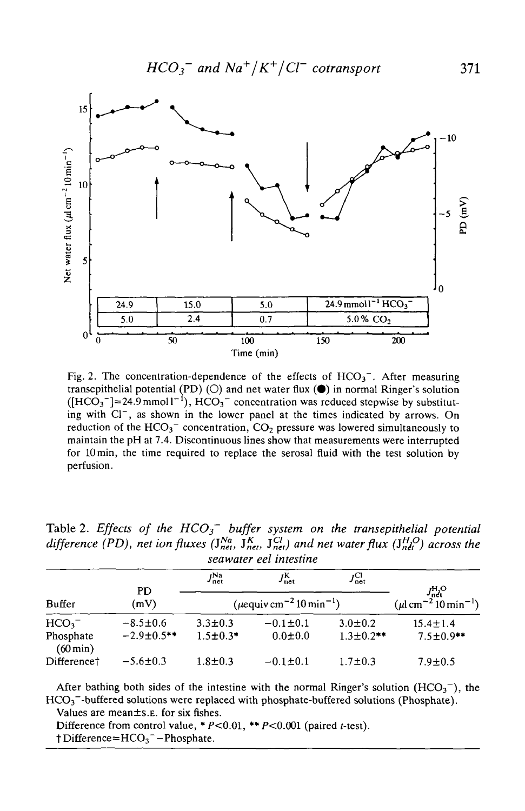

Fig. 2. The concentration-dependence of the effects of  $HCO<sub>3</sub><sup>-</sup>$ . After measuring transepithelial potential (PD)  $(O)$  and net water flux  $(\bullet)$  in normal Ringer's solution  $([HCO<sub>3</sub>^-] \approx 24.9$  mmoll<sup>-1</sup>),  $HCO<sub>3</sub>^-$  concentration was reduced stepwise by substituting with Cl<sup>-</sup>, as shown in the lower panel at the times indicated by arrows. On reduction of the  $HCO_3^-$  concentration,  $CO_2$  pressure was lowered simultaneously to maintain the pH at 7.4. Discontinuous lines show that measurements were interrupted for 10 min, the time required to replace the serosal fluid with the test solution by perfusion.

| seawaier eel intestine             |                   |                                                      |                       |                        |                                                                                      |  |  |  |
|------------------------------------|-------------------|------------------------------------------------------|-----------------------|------------------------|--------------------------------------------------------------------------------------|--|--|--|
|                                    | <b>PD</b>         | $J_{\rm net}^{\rm Na}$                               | $J_{\sf net}^{\sf K}$ | $J_{\rm net}^{\rm CI}$ |                                                                                      |  |  |  |
| <b>Buffer</b>                      | (mV)              | $(\mu$ equiv cm <sup>-2</sup> 10 min <sup>-1</sup> ) |                       |                        | $J_{\text{net}}^{\text{H}_2\text{O}}$<br>(µl cm <sup>-2</sup> 10 min <sup>-1</sup> ) |  |  |  |
| HCO <sub>3</sub>                   | $-8.5 \pm 0.6$    | $3.3 \pm 0.3$                                        | $-0.1 \pm 0.1$        | $3.0 \pm 0.2$          | $15.4 \pm 1.4$                                                                       |  |  |  |
| Phosphate<br>$(60 \,\mathrm{min})$ | $-2.9 \pm 0.5$ ** | $1.5 \pm 0.3$ *                                      | $0.0 \pm 0.0$         | $1.3 \pm 0.2$ **       | $7.5 \pm 0.9$ **                                                                     |  |  |  |
| Difference <sup>†</sup>            | $-5.6 \pm 0.3$    | $1.8 + 0.3$                                          | $-0.1 \pm 0.1$        | $1.7 \pm 0.3$          | $7.9 \pm 0.5$                                                                        |  |  |  |

Table 2. *Effects of the HCO<sub>3</sub>* buffer system on the transepithelial potential *difference (PD), net ion fluxes (J<sub>net</sub>, J<sub>net</sub>, J<sub>net</sub>) and net water flux (J<sub>net</sub>) across the seawater eel intestine*

After bathing both sides of the intestine with the normal Ringer's solution  $(HCO<sub>3</sub><sup>-</sup>)$ , the  $HCO<sub>3</sub>$ <sup>-</sup>-buffered solutions were replaced with phosphate-buffered solutions (Phosphate).

Values are mean±s.E. for six fishes.

Difference from control value,  $*P<0.01$ ,  $**P<0.001$  (paired t-test).  $\dagger$  Difference=HCO<sub>3</sub><sup>-</sup>-Phosphate.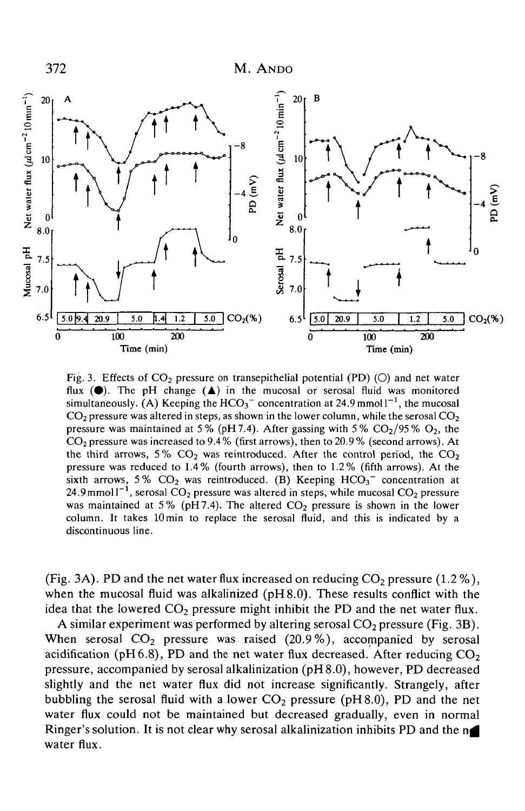

Fig. 3. Effects of  $CO<sub>2</sub>$  pressure on transepithelial potential (PD) (O) and net water flux  $(\bullet)$ . The pH change  $(\bullet)$  in the mucosal or serosal fluid was monitored simultaneously. (A) Keeping the  $HCO_3^-$  concentration at 24.9 mmol  $I^{-1}$ , the mucosal  $CO<sub>2</sub>$  pressure was altered in steps, as shown in the lower column, while the serosal  $CO<sub>2</sub>$ pressure was maintained at 5% (pH 7.4). After gassing with 5%  $CO<sub>2</sub>/95% O<sub>2</sub>$ , the  $CO<sub>2</sub>$  pressure was increased to 9.4% (first arrows), then to 20.9% (second arrows). At the third arrows, 5%  $CO<sub>2</sub>$  was reintroduced. After the control period, the  $CO<sub>2</sub>$ pressure was reduced to 1.4% (fourth arrows), then to 1.2% (fifth arrows). At the sixth arrows, 5%  $CO<sub>2</sub>$  was reintroduced. (B) Keeping  $HCO<sub>3</sub><sup>-</sup>$  concentration at  $24.9$  mmol  $1^{-1}$ , serosal CO<sub>2</sub> pressure was altered in steps, while mucosal CO<sub>2</sub> pressure was maintained at 5% (pH7.4). The altered  $CO<sub>2</sub>$  pressure is shown in the lower column. It takes 10 min to replace the serosal fluid, and this is indicated by a discontinuous line.

(Fig. 3A). PD and the net water flux increased on reducing  $CO_2$  pressure (1.2%), when the mucosal fluid was alkalinized (pH8.0). These results conflict with the idea that the lowered  $CO<sub>2</sub>$  pressure might inhibit the PD and the net water flux.

A similar experiment was performed by altering serosal  $CO<sub>2</sub>$  pressure (Fig. 3B). When serosal  $CO<sub>2</sub>$  pressure was raised (20.9%), accompanied by serosal acidification (pH6.8), PD and the net water flux decreased. After reducing  $CO<sub>2</sub>$ pressure, accompanied by serosal alkalinization (pH8.0), however, PD decreased slightly and the net water flux did not increase significantly. Strangely, after bubbling the serosal fluid with a lower  $CO_2$  pressure (pH8.0), PD and the net water flux could not be maintained but decreased gradually, even in normal Ringer's solution. It is not clear why serosal alkalinization inhibits PD and the  $n$ water flux.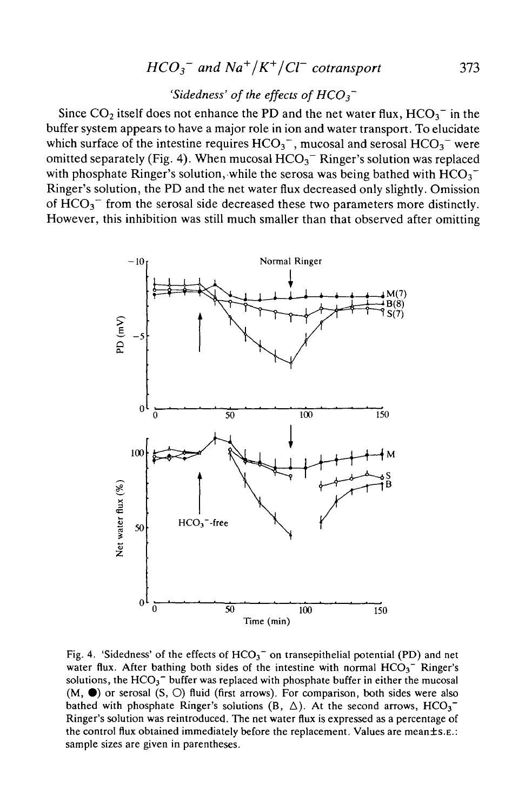# $HCO_3^-$  and  $Na^+/K^+/Cl^-$  cotransport 373

## *'Sidedness' of the effects of HCO3~*

Since  $CO_2$  itself does not enhance the PD and the net water flux,  $HCO_3^-$  in the buffer system appears to have a major role in ion and water transport. To elucidate which surface of the intestine requires  $HCO_3^-$ , mucosal and serosal  $HCO_3^-$  were omitted separately (Fig. 4). When mucosal  $HCO<sub>3</sub><sup>-</sup>$  Ringer's solution was replaced with phosphate Ringer's solution, while the serosa was being bathed with  $HCO_3^-$ Ringer's solution, the PD and the net water flux decreased only slightly. Omission of  $HCO<sub>3</sub><sup>-</sup>$  from the serosal side decreased these two parameters more distinctly. However, this inhibition was still much smaller than that observed after omitting



Fig. 4. 'Sidedness' of the effects of  $HCO<sub>3</sub><sup>-</sup>$  on transepithelial potential (PD) and net water flux. After bathing both sides of the intestine with normal  $HCO_3$ <sup>-</sup> Ringer's solutions, the  $HCO<sub>3</sub><sup>-</sup>$  buffer was replaced with phosphate buffer in either the mucosal  $(M, \bullet)$  or serosal  $(S, \bigcirc)$  fluid (first arrows). For comparison, both sides were also bathed with phosphate Ringer's solutions (B,  $\Delta$ ). At the second arrows, HCO<sub>3</sub><sup>-</sup> Ringer's solution was reintroduced. The net water flux is expressed as a percentage of the control flux obtained immediately before the replacement. Values are mean $\pm$ s.E.: sample sizes are given in parentheses.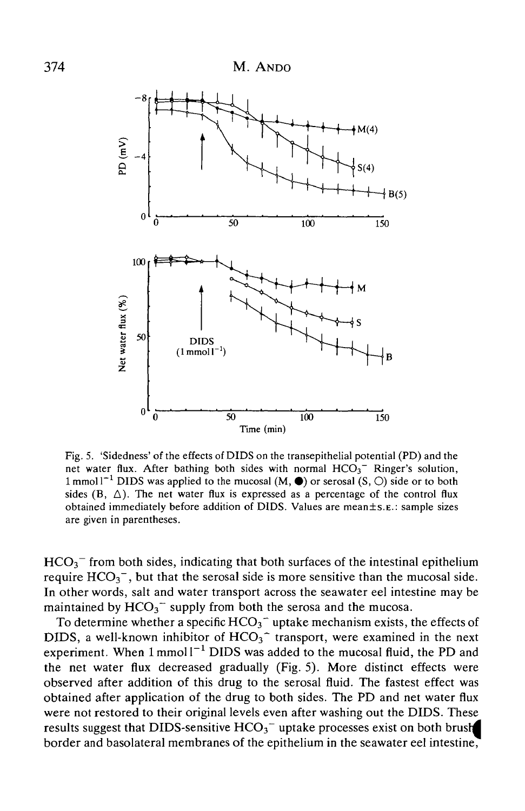

Fig. 5. 'Sidedness' of the effects of DIDS on the transepithelial potential (PD) and the net water flux. After bathing both sides with normal  $HCO<sub>3</sub><sup>-</sup>$  Ringer's solution, 1 mmol  $1^{-1}$  DIDS was applied to the mucosal  $(M, \bullet)$  or serosal  $(S, \circ)$  side or to both sides  $(B, \triangle)$ . The net water flux is expressed as a percentage of the control flux obtained immediately before addition of DIDS. Values are mean±s.E.: sample sizes are given in parentheses.

 $HCO<sub>3</sub><sup>-</sup>$  from both sides, indicating that both surfaces of the intestinal epithelium require  $HCO_3^-$ , but that the serosal side is more sensitive than the mucosal side. In other words, salt and water transport across the seawater eel intestine may be maintained by  $HCO_3^-$  supply from both the serosa and the mucosa.

To determine whether a specific  $HCO<sub>3</sub>$  uptake mechanism exists, the effects of DIDS, a well-known inhibitor of  $HCO<sub>3</sub><sup>-</sup>$  transport, were examined in the next experiment. When  $1$  mmol  $I^{-1}$  DIDS was added to the mucosal fluid, the PD and the net water flux decreased gradually (Fig. 5). More distinct effects were observed after addition of this drug to the serosal fluid. The fastest effect was obtained after application of the drug to both sides. The PD and net water flux were not restored to their original levels even after washing out the DIDS. These results suggest that DIDS-sensitive  $HCO_3^-$  uptake processes exist on both brush border and basolateral membranes of the epithelium in the seawater eel intestine,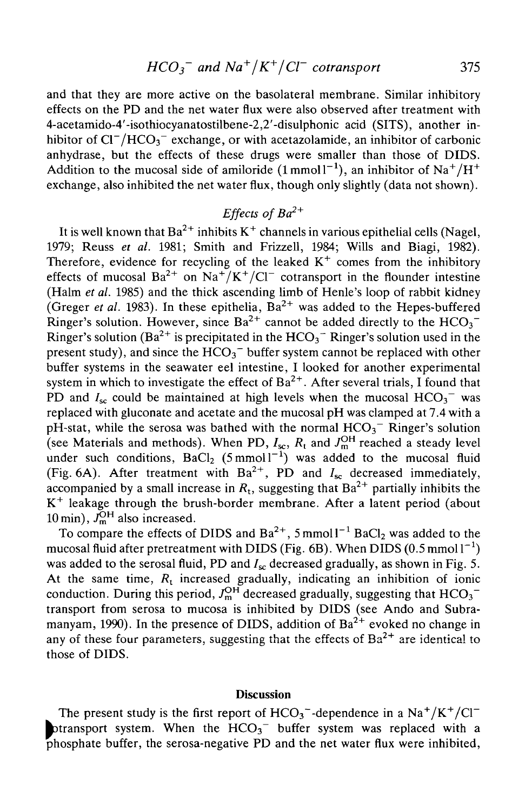and that they are more active on the basolateral membrane. Similar inhibitory effects on the PD and the net water flux were also observed after treatment with 4-acetamido-4'-isothiocyanatostilbene-2,2'-disulphonic acid (SITS), another inhibitor of  $CI^-/HCO_3^-$  exchange, or with acetazolamide, an inhibitor of carbonic anhydrase, but the effects of these drugs were smaller than those of DIDS. Addition to the mucosal side of amiloride  $(1 \text{ mmol} 1^{-1})$ , an inhibitor of Na<sup>+</sup>/H<sup>+</sup> exchange, also inhibited the net water flux, though only slightly (data not shown).

## Effects of  $Ba^{2+}$

It is well known that Ba<sup>2+</sup> inhibits K<sup>+</sup> channels in various epithelial cells (Nagel, 1979; Reuss *et al.* 1981; Smith and Frizzell, 1984; Wills and Biagi, 1982). Therefore, evidence for recycling of the leaked  $K^+$  comes from the inhibitory effects of mucosal  $Ba^{2+}$  on  $Na^{+}/K^{+}/Cl^{-}$  cotransport in the flounder intestine (Halm *et al.* 1985) and the thick ascending limb of Henle's loop of rabbit kidney (Greger *et al.* 1983). In these epithelia,  $Ba^{2+}$  was added to the Hepes-buffered Ringer's solution. However, since  $Ba^{2+}$  cannot be added directly to the  $HCO_3^-$ Ringer's solution (Ba $^{2+}$  is precipitated in the  $\mathrm{HCO_3}^-$  Ringer's solution used in the present study), and since the  $HCO_3^-$  buffer system cannot be replaced with other buffer systems in the seawater eel intestine, I looked for another experimental system in which to investigate the effect of  $Ba^{2+}$ . After several trials, I found that PD and  $I_{\rm sc}$  could be maintained at high levels when the mucosal  $HCO_3^-$  was replaced with gluconate and acetate and the mucosal pH was clamped at 7.4 with a pH-stat, while the serosa was bathed with the normal  $HCO<sub>3</sub><sup>-</sup>$  Ringer's solution (see Materials and methods). When PD,  $I_{\rm sc}$ ,  $R_{\rm t}$  and  $J_{\rm m}^{\rm OH}$  reached a steady level under such conditions,  $BaCl_2$  (5 mmol  $1^{-1}$ ) was added to the mucosal fluid (Fig. 6A). After treatment with  $Ba^{2+}$ , PD and  $I_{sc}$  decreased immediately, accompanied by a small increase in  $R_{\rm t}$ , suggesting that  ${\rm Ba}^{2+}$  partially inhibits the K+ leakage through the brush-border membrane. After a latent period (about 10 min),  $\bar{J}_{m}^{OH}$  also increased.

To compare the effects of DIDS and  $Ba^{2+}$ , 5 mmol  $l^{-1}$  BaCl<sub>2</sub> was added to the mucosal fluid after pretreatment with DIDS (Fig. 6B). When DIDS ( $0.5\,\mathrm{mmol}\,\mathrm{l}^{-1})$ was added to the serosal fluid, PD and  $I_{\rm sc}$  decreased gradually, as shown in Fig. 5. At the same time, *Rt* increased gradually, indicating an inhibition of ionic conduction. During this period,  $J^{\text{OH}}_{m}$  decreased gradually, suggesting that  $HCO_3^$ transport from serosa to mucosa is inhibited by DIDS (see Ando and Subramanyam, 1990). In the presence of DIDS, addition of  $Ba^{2+}$  evoked no change in any of these four parameters, suggesting that the effects of  $Ba^{2+}$  are identical to those of DIDS.

## **Discussion**

The present study is the first report of  $HCO_3^-$ -dependence in a  $Na^+/K^+/Cl^$ ptransport system. When the  $HCO<sub>3</sub><sup>-</sup>$  buffer system was replaced with a phosphate buffer, the serosa-negative PD and the net water flux were inhibited,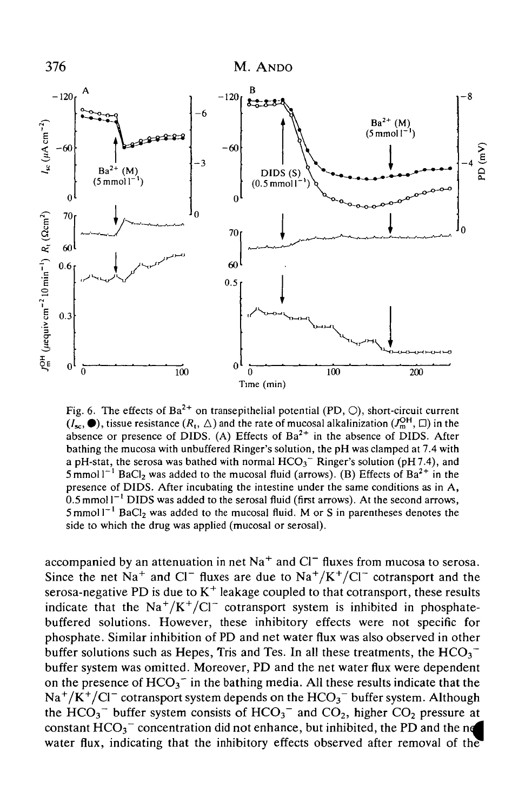

Fig. 6. The effects of  $Ba^{2+}$  on transepithelial potential (PD,  $\circlearrowright)$ , short-circuit current  $(I_{\mathbf{x}_0}, \bullet)$ , tissue resistance  $(R_1, \triangle)$  and the rate of mucosal alkalinization  $(J_{\mathbf{m}}^{\mathrm{OH}}, \square)$  in the absence or presence of DIDS. (A) Effects of  $Ba^{2+}$  in the absence of DIDS. After bathing the mucosa with unbuffered Ringer's solution, the pH was clamped at 7.4 with a pH-stat, the serosa was bathed with normal  $HCO<sub>3</sub>^-$  Ringer's solution (pH7.4), and  $5 \text{ mmol}1^{-1}$  BaCl<sub>2</sub> was added to the mucosal fluid (arrows). (B) Effects of Ba<sup>2+</sup> in the presence of DIDS. After incubating the intestine under the same conditions as in A,  $0.5$  mmol P<sup>-1</sup> DIDS was added to the serosal fluid (first arrows). At the second arrows,  $5 \text{ mm}$ ol P<sup>-1</sup> BoCl, was added to the mucosal fluid. M or S in parantheses denotes the  $5$  mmol $1^{-1}$  BaCl<sub>2</sub> was added to the mucosal fluid. M or S in parentheses denotes the side to which the drug was applied (mucosal or serosal).

accompanied by an attenuation in net Na<sup>+</sup> and Cl<sup>-</sup> fluxes from mucosa to serosa. Since the net Na<sup>+</sup> and Cl<sup>-</sup> fluxes are due to Na<sup>+</sup>/K<sup>+</sup>/Cl<sup>-</sup> cotransport and the serosa-negative PD is due to  $K^+$  leakage coupled to that cotransport, these results indicate that the  $\text{Na}^+/ \text{K}^+/ \text{Cl}^-$  cotransport system is inhibited in phosphatebuffered solutions. However, these inhibitory effects were not specific for phosphate. Similar inhibition of PD and net water flux was also observed in other buffer solutions such as Hepes, Tris and Tes. In all these treatments, the  $HCO_3^$ buffer system was omitted. Moreover, PD and the net water flux were dependent on the presence of  $HCO_3^-$  in the bathing media. All these results indicate that the  $Na^+/K^+/Cl^-$  cotransport system depends on the  $HCO_3^-$  buffer system. Although the HCO<sub>3</sub><sup> $-$ </sup> buffer system consists of HCO<sub>3</sub><sup> $-$ </sup> and CO<sub>2</sub>, higher CO<sub>2</sub> pressure at constant  $HCO_3^-$  concentration did not enhance, but inhibited, the PD and the ne water flux, indicating that the inhibitory effects observed after removal of the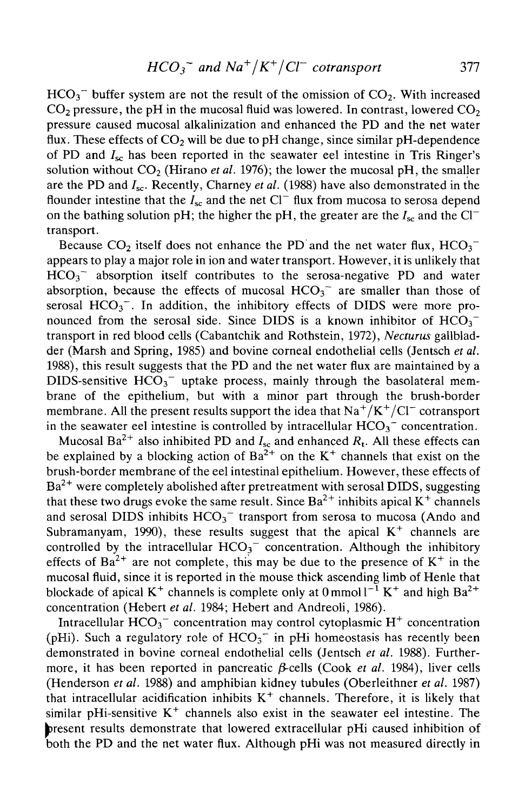$HCO<sub>3</sub>$ <sup>-</sup> buffer system are not the result of the omission of  $CO<sub>2</sub>$ . With increased  $CO<sub>2</sub>$  pressure, the pH in the mucosal fluid was lowered. In contrast, lowered  $CO<sub>2</sub>$ pressure caused mucosal alkalinization and enhanced the PD and the net water flux. These effects of  $CO<sub>2</sub>$  will be due to pH change, since similar pH-dependence of PD and  $I_{\rm sc}$  has been reported in the seawater eel intestine in Tris Ringer's solution without  $CO<sub>2</sub>$  (Hirano *et al.* 1976); the lower the mucosal pH, the smaller are the PD and  $I_{sc}$ . Recently, Charney *et al.* (1988) have also demonstrated in the flounder intestine that the  $I_{sc}$  and the net Cl<sup>-</sup> flux from mucosa to serosa depend on the bathing solution pH; the higher the pH, the greater are the  $I_{\rm sc}$  and the Cl<sup>-</sup> transport.

Because  $CO<sub>2</sub>$  itself does not enhance the PD and the net water flux,  $HCO<sub>3</sub>$ appears to play a major role in ion and water transport. However, it is unlikely that  $HCO<sub>3</sub>$ <sup> $-$ </sup> absorption itself contributes to the serosa-negative PD and water absorption, because the effects of mucosal  $HCO<sub>3</sub><sup>-</sup>$  are smaller than those of serosal  $HCO_3^-$ . In addition, the inhibitory effects of DIDS were more pronounced from the serosal side. Since DIDS is a known inhibitor of  $HCO<sub>3</sub>$ transport in red blood cells (Cabantchik and Rothstein, 1972), *Necturus* gallbladder (Marsh and Spring, 1985) and bovine corneal endothelial cells (Jentsch *et al.* 1988), this result suggests that the PD and the net water flux are maintained by a DIDS-sensitive  $HCO_3^-$  uptake process, mainly through the basolateral membrane of the epithelium, but with a minor part through the brush-border membrane. All the present results support the idea that  $Na^{+}/K^{+}/Cl^{-}$  cotransport in the seawater eel intestine is controlled by intracellular  $HCO_3^-$  concentration.

Mucosal Ba<sup>2+</sup> also inhibited PD and  $I_{\rm sc}$  and enhanced  $R_{\rm t}$ . All these effects can be explained by a blocking action of  $Ba^{2+}$  on the K<sup>+</sup> channels that exist on the brush-border membrane of the eel intestinal epithelium. However, these effects of  $Ba^{2+}$  were completely abolished after pretreatment with serosal DIDS, suggesting that these two drugs evoke the same result. Since  $Ba^{2+}$  inhibits apical  $K^+$  channels and serosal DIDS inhibits  $HCO<sub>3</sub><sup>-</sup>$  transport from serosa to mucosa (Ando and Subramanyam, 1990), these results suggest that the apical  $K^+$  channels are controlled by the intracellular  $HCO<sub>3</sub><sup>-</sup>$  concentration. Although the inhibitory effects of  $Ba^{2+}$  are not complete, this may be due to the presence of  $K^+$  in the mucosal fluid, since it is reported in the mouse thick ascending limb of Henle that blockade of apical K<sup>+</sup> channels is complete only at  $0 \text{ mmol} 1^{-1} K^+$  and high Ba<sup>2+</sup> concentration (Hebert *et al.* 1984; Hebert and Andreoli, 1986).

Intracellular  $HCO_3^-$  concentration may control cytoplasmic  $H^+$  concentration (pHi). Such a regulatory role of  $HCO<sub>3</sub><sup>-</sup>$  in pHi homeostasis has recently been demonstrated in bovine corneal endothelial cells (Jentsch *et al.* 1988). Furthermore, it has been reported in pancreatic  $\beta$ -cells (Cook *et al.* 1984), liver cells (Henderson *et al.* 1988) and amphibian kidney tubules (Oberleithner *et al.* 1987) that intracellular acidification inhibits  $K^+$  channels. Therefore, it is likely that similar pHi-sensitive  $K^+$  channels also exist in the seawater eel intestine. The bresent results demonstrate that lowered extracellular pHi caused inhibition of both the PD and the net water flux. Although pHi was not measured directly in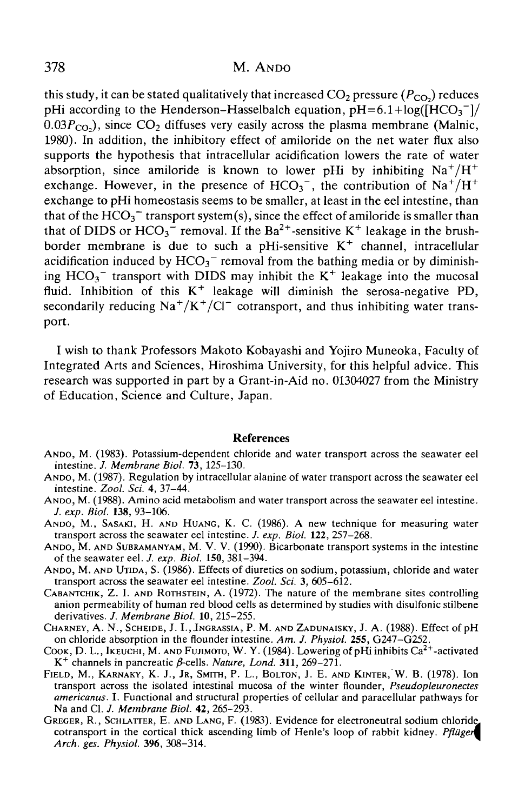this study, it can be stated qualitatively that increased  $CO<sub>2</sub>$  pressure  $(P<sub>CO</sub>)$  reduces pHi according to the Henderson–Hasselbalch equation,  $pH=6.1+log(\overline{HCO_3}^{-1})/$  $(0.03P<sub>CO</sub>)$ , since CO<sub>2</sub> diffuses very easily across the plasma membrane (Malnic, 1980). In addition, the inhibitory effect of amiloride on the net water flux also supports the hypothesis that intracellular acidification lowers the rate of water absorption, since amiloride is known to lower pHi by inhibiting  $Na^+/H^+$ exchange. However, in the presence of HCO<sub>3</sub><sup>-</sup>, the contribution of Na<sup>+</sup>/H<sup>+</sup> exchange to pHi homeostasis seems to be smaller, at least in the eel intestine, than that of the  $HCO<sub>3</sub>$ <sup>-</sup> transport system(s), since the effect of amiloride is smaller than that of DIDS or  $HCO_3^-$  removal. If the Ba<sup>2+</sup>-sensitive K<sup>+</sup> leakage in the brushborder membrane is due to such a pHi-sensitive  $K^+$  channel, intracellular acidification induced by  $HCO<sub>3</sub><sup>-</sup>$  removal from the bathing media or by diminishing  $HCO_3^-$  transport with DIDS may inhibit the  $K^+$  leakage into the mucosal fluid. Inhibition of this  $K^+$  leakage will diminish the serosa-negative PD, secondarily reducing  $\text{Na}^+/ \text{K}^+/ \text{Cl}^-$  cotransport, and thus inhibiting water transport.

I wish to thank Professors Makoto Kobayashi and Yojiro Muneoka, Faculty of Integrated Arts and Sciences, Hiroshima University, for this helpful advice. This research was supported in part by a Grant-in-Aid no. 01304027 from the Ministry of Education, Science and Culture, Japan.

### References

- ANDO, M. (1983). Potassium-dependent chloride and water transport across the seawater eel intestine. J. Membrane Biol. 73, 125-130.
- ANDO, M. (1987). Regulation by intracellular alanine of water transport across the seawater eel intestine. Zool. Sci. 4, 37-44.
- ANDO, M. (1988). Amino acid metabolism and water transport across the seawater eel intestine.<br>*J. exp. Biol.* 138, 93-106.
- ANDO, M., SASAKI, H. AND HUANG, K. C. (1986). A new technique for measuring water transport across the seawater eel intestine. *J. exp. Biol.* 122, 257–268.
- ANDO, M. AND SUBRAMANYAM, M. V. V. (1990). Bicarbonate transport systems in the intestine of the seawater eel. *J. exp. Biol.* **150**, 381–394.
- ANDO, M. AND UTIDA, S. (1986). Effects of diuretics on sodium, potassium, chloride and water transport across the seawater eel intestine. Zool. Sci. 3. 605–612.
- CABANTCHIK, Z. I. AND ROTHSTEIN, A. (1972). The nature of the membrane sites controlling anion permeability of human red blood cells as determined by studies with disulfonic stilbene derivatives. J. Membrane Biol. 10, 215-255.
- CHARNEY, A. N., SCHEIDE, J. I., INGRASSIA, P. M. AND ZADUNAISKY, J. A. (1988). Effect of pH on chloride absorption in the flounder intestine. Am. J. Physiol. 255, G247–G252.
- Cook, D. L., Ikeuchi, M. AND FUJIMOTO, W. Y. (1984). Lowering of pHi inhibits Ca<sup>2+</sup>-activated  $K^+$  channels in pancreatic  $\beta$ -cells. Nature, Lond. 311, 269–271.
- FIELD, M., KARNAKY, K. J., JR, SMITH, P. L., BOLTON, J. E. AND KINTER, W. B. (1978). Ion transport across the isolated intestinal mucosa of the winter flounder, *Pseudopleuronectes americanus.* I. Functional and structural properties of cellular and paracellular pathways for
- GREGER, R., SCHLATTER, E. AND LANG, F. (1983). Evidence for electroneutral sodium chloride, cotransport in the cortical thick ascending limb of Henle's loop of rabbit kidney. *Pfliigem Arch. ges. Physiol.* **396,** 308-314.